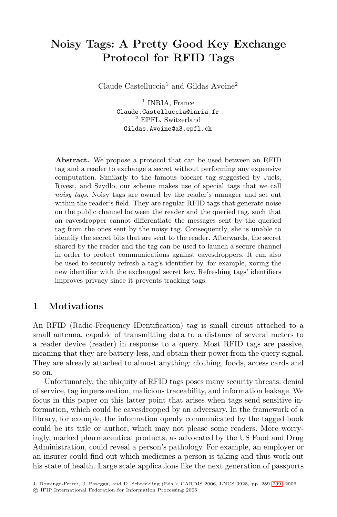# **Noisy Tags: A Pretty Good Key Exchange Protocol for RFID Tags**

Claude Castelluccia<sup>1</sup> and Gildas Avoine<sup>2</sup>

 $1$  INRIA, France Claude.Castelluccia@inria.fr <sup>2</sup> EPFL, Switzerland Gildas.Avoine@a3.epfl.ch

**Abstract.** We propose a protocol that can be used between an RFID tag and a reader to exchange a secret without performing any expensive computation. Similarly to the famous blocker tag suggested by Juels, Rivest, and Szydlo, our scheme makes use of special tags that we call noisy tags. Noisy tags are owned by the reader's manager and set out within the reader's field. They are regular RFID tags that generate noise on the public channel between the reader and the queried tag, such that an eavesdropper cannot differentiate the messages sent by the queried tag from the ones sent by the noisy tag. Consequently, she is unable to identify the secret bits that are sent to the reader. Afterwards, the secret shared by the reader and the tag can be used to launch a secure channel in order to protect communications against eavesdroppers. It can also be used to securely refresh a tag's identifier by, for example, xoring the new identifier with the exchanged secret key. Refreshing tags' identifiers improves privacy since it prevents tracking tags.

# **1 Motivations**

An RFID (Radio-Frequency IDentification) tag is small circuit attached to a small antenna, capable of transmitting data to a distance of several meters to a reader device (reader) in response to a query. Most RFID tags are passive, meaning that they are battery-less, and obtain their power from the query signal. They are already attached to almost anything: clothing, foods, access cards and so on.

Unfortunately, the ubiquity of RFID tags poses many security threats: denial of service, tag impersonation, malicious traceability, and information leakage. We focus in this paper on this latter point that arises when tags send sensitive information, which could be eavesdropped by an adv[ersa](#page-10-0)ry. In the framework of a library, for example, the information openly communicated by the tagged book could be its title or author, which may not please some readers. More worryingly, marked pharmaceutical products, as advocated by the US Food and Drug Administration, could reveal a person's pathology. For example, an employer or an insurer could find out which medicines a person is taking and thus work out his state of health. Large scale applications like the next generation of passports

J. Domingo-Ferrer, J. Posegga, and D. Schreckling (Eds.): CARDIS 2006, LNCS 3928, pp. 289–299, 2006. c IFIP International Federation for Information Processing 2006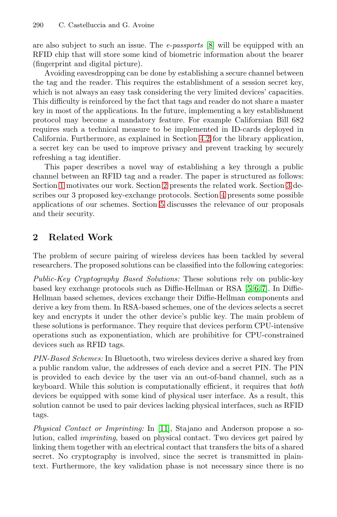#### 290 C. Castelluccia and G. Avoine

are also subject to such an issue. The e-passports [8] will be equipped with an RFID chip that will store some kind of biometric information about the bearer (fingerprint and digital pictur[e\).](#page-7-0)

Avoiding eavesdropping can be done by establishing a secure channel between the tag and the reader. This requires the establishment of a session secret key, which is not always an easy task considering the very limited devices' capacities. This difficulty is reinforced by the fact that tags and reader do not share a master key in most of the [ap](#page-1-0)plications. In the future, impleme[ntin](#page-2-0)g a key establishment protocol may become a mandator[y f](#page-6-0)eature. For example Californian Bill 682 requires such a te[ch](#page-8-0)nical measure to be implemented in ID-cards deployed in California. Furthermore, as explained in Section 4.2 for the library application, a secret key can be used to improve privacy and prevent tracking by securely refreshing a tag identifier.

<span id="page-1-0"></span>This paper describes a novel way of establishing a key through a public channel between an RFID tag and a reader. The paper is structured as follows: Section 1 motivates our work. Section 2 presents the related work. Section 3 describes our 3 proposed key-exchange protocols. Section 4 presents some possible applications of our schemes. Section 5 discusses the relevance of our proposals and their security.

# **2 Related Work**

The problem of secure pairing of wireless devices has been tackled by several researchers. The proposed solutions can be classified into the following categories:

Public-Key Cryptography Based Solutions: These solutions rely on public-key based key exchange protocols such as Diffie-Hellman or RSA [5, 6, 7]. In Diffie-Hellman based schemes, devices exchange their Diffie-Hellman components and derive a key from them. In RSA-based schemes, one of the devices selects a secret key and encrypts it under the other device's public key. The main problem of these solutions is performance. They require that devices perform CPU-intensive operations such as exponentiation, which are prohibitive for CPU-constrained devices such as RFID tags.

PIN-Based Schem[es:](#page-10-1) In Bluetooth, two wireless devices derive a shared key from a public random value, the addresses of each device and a secret PIN. The PIN is provided to each device by the user via an out-of-band channel, such as a keyboard. While this solution is computationally efficient, it requires that both devices be equipped with some kind of physical user interface. As a result, this solution cannot be used to pair devices lacking physical interfaces, such as RFID tags.

Physical Contact or Imprinting: In [11], Stajano and Anderson propose a solution, called imprinting, based on physical contact. Two devices get paired by linking them together with an electrical contact that transfers the bits of a shared secret. No cryptography is involved, since the secret is transmitted in plaintext. Furthermore, the key validation phase is not necessary since there is no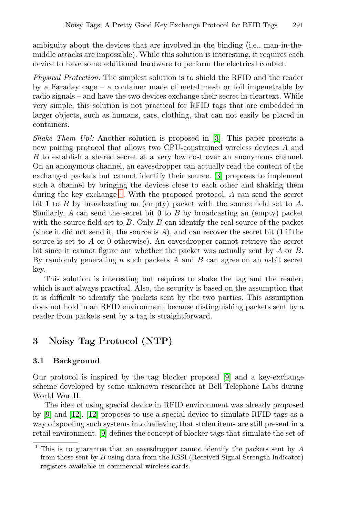ambiguity about the devices that are involved in the binding (i.e., man-in-themiddle attacks are impossible). While this solution is interesting, it requires each device to have some additional ha[rd](#page-10-2)ware to perform the electrical contact.

Physical Protection: The simplest solution is to shield the RFID and the reader by a Faraday cage – a container made of metal mesh or foil impenetrable by radio signals – and have the two devices exchange their secret in cleartext. While very simple, this solution is not p[ra](#page-10-2)ctical for RFID tags that are embedded in larger objects, such as humans, cars, clothing, that can not easily be placed in contai[ne](#page-2-1)rs.

Shake Them  $Up!$ : Another solution is proposed in [3]. This paper presents a new pairing protocol that allows two CPU-constrained wireless devices A and B to establish a shared secret at a very low cost over an anonymous channel. On an anonymous channel, an eavesdropper can actually read the content of the exchanged packets but cannot identify their source. [3] proposes to implement such a channel by bringing the devices close to each other and shaking them during the key exchange  $^1$ . With the proposed protocol, A can send the secret bit 1 to B by broadcasting an (empty) packet with the source field set to A. Similarly,  $A$  can send the secret bit 0 to  $B$  by broadcasting an (empty) packet with the source field set to  $B$ . Only  $B$  can identify the real source of the packet (since it did not send it, the source is  $A$ ), and can recover the secret bit (1 if the source is set to A or 0 otherwise). An eavesdropper cannot retrieve the secret bit since it cannot figure out whether the packet was actually sent by A or B. By randomly generating n such packets A and B can agree on an n-bit secret key.

<span id="page-2-0"></span>This solution is interesting but requires to shake the tag and the reader, which is not always practical. Also, the security is based on the assumption that it is difficult to identify the packets sent by the two parties. This assumption does not hold in an RFID environme[nt](#page-10-3) because distinguishing packets sent by a reader from packets sent by a tag is straightforward.

# **3 Noisy Tag Protocol (NTP)**

## **[3.1](#page-10-3) Background**

<span id="page-2-1"></span>Our protocol is inspired by the tag blocker proposal [9] and a key-exchange scheme developed by some unknown researcher at Bell Telephone Labs during World War II.

The idea of using special device in RFID environment was already proposed by [9] and [12]. [12] proposes to use a special device to simulate RFID tags as a way of spoofing such systems into believing that stolen items are still present in a retail environment. [9] defines the concept of blocker tags that simulate the set of

<sup>1</sup> This is to guarantee that an eavesdropper cannot identify the packets sent by A from those sent by B using data from the RSSI (Received Signal Strength Indicator) registers available in commercial wireless cards.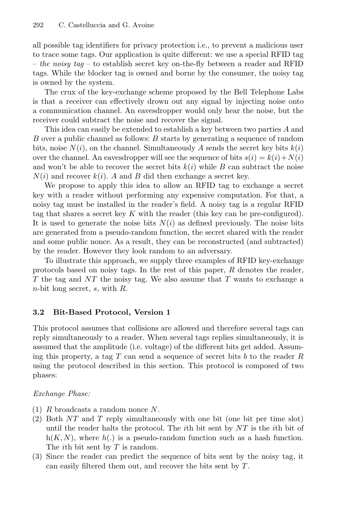all possible tag identifiers for privacy protection i.e., to prevent a malicious user to trace some tags. Our application is quite different: we use a special RFID tag – the noisy tag – to establish secret key on-the-fly between a reader and RFID tags. While the blocker tag is owned and borne by the consumer, the noisy tag is owned by the system.

The crux of the key-exchange scheme proposed by the Bell Telephone Labs is that a receiver can effectively drown out any signal by injecting noise onto a communication channel. An eavesdropper would only hear the noise, but the receiver could subtract the noise and recover the signal.

This idea can easily be extended to establish a key between two parties A and B over a public channel as follows: B starts by generating a sequence of random bits, noise  $N(i)$ , on the channel. Simultaneously A sends the secret key bits  $k(i)$ over the channel. An eavesdropper will see the sequence of bits  $s(i) = k(i) + N(i)$ and won't be able to recover the secret bits  $k(i)$  while B can subtract the noise  $N(i)$  and recover  $k(i)$ . A and B did then exchange a secret key.

We propose to apply this idea to allow an RFID tag to exchange a secret key with a reader without performing any expensive computation. For that, a noisy tag must be installed in the reader's field. A noisy tag is a regular RFID tag that shares a secret key  $K$  with the reader (this key can be pre-configured). It is used to generate the noise bits  $N(i)$  as defined previously. The noise bits are generated from a pseudo-random function, the secret shared with the reader and some public nonce. As a result, they can be reconstructed (and subtracted) by the reader. However they look random to an adversary.

To illustrate this approach, we supply three examples of RFID key-exchange protocols based on noisy tags. In the rest of this paper, R denotes the reader, T the tag and NT the noisy tag. We also assume that T wants to exchange a n-bit long secret, s, with R.

# **3.2 Bit-Based Protocol, Version 1**

This protocol assumes that collisions are allowed and therefore several tags can reply simultaneously to a reader. When several tags replies simultaneously, it is assumed that the amplitude (i.e. voltage) of the different bits get added. Assuming this property, a tag  $T$  can send a sequence of secret bits b to the reader  $R$ using the protocol described in this section. This protocol is composed of two phases:

# Exchange Phase:

- $(1)$  R broadcasts a random nonce N.
- (2) Both NT and T reply simultaneously with one bit (one bit per time slot) until the reader halts the protocol. The *i*th bit sent by  $NT$  is the *i*th bit of  $h(K, N)$ , where  $h(.)$  is a pseudo-random function such as a hash function. The *i*th bit sent by T is random.
- (3) Since the reader can predict the sequence of bits sent by the noisy tag, it can easily filtered them out, and recover the bits sent by  $T$ .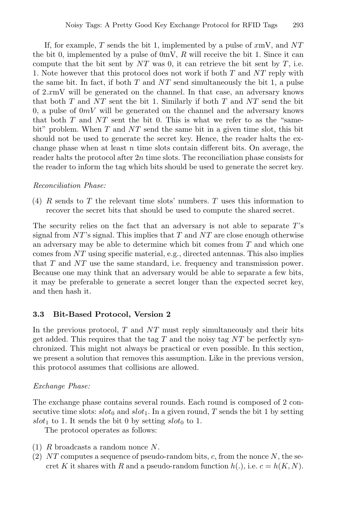If, for example, T sends the bit 1, implemented by a pulse of  $x$ mV, and  $NT$ the bit 0, implemented by a pulse of  $0mV$ , R will receive the bit 1. Since it can compute that the bit sent by  $NT$  was 0, it can retrieve the bit sent by  $T$ , i.e. 1. Note however that this protocol does not work if both T and NT reply with the same bit. In fact, if both  $T$  and  $NT$  send simultaneously the bit 1, a pulse of 2.xmV will be generated on the channel. In that case, an adversary knows that both T and NT sent the bit 1. Similarly if both T and NT send the bit 0, a pulse of  $0mV$  will be generated on the channel and the adversary knows that both  $T$  and  $NT$  sent the bit 0. This is what we refer to as the "samebit" problem. When  $T$  and  $NT$  send the same bit in a given time slot, this bit should not be used to generate the secret key. Hence, the reader halts the exchange phase when at least  $n$  time slots contain different bits. On average, the reader halts the protocol after  $2n$  time slots. The reconciliation phase consists for the reader to inform the tag which bits should be used to generate the secret key.

#### Reconciliation Phase:

(4) R sends to T the relevant time slots' numbers. T uses this information to recover the secret bits that should be used to compute the shared secret.

The security relies on the fact that an adversary is not able to separate  $T$ 's signal from NT's signal. This implies that T and NT are close enough otherwise an adversary may be able to determine which bit comes from  $T$  and which one comes from NT using specific material, e.g., directed antennas. This also implies that T and NT use the same standard, i.e. frequency and transmission power. Because one may think that an adversary would be able to separate a few bits, it may be preferable to generate a secret longer than the expected secret key, and then hash it.

#### **3.3 Bit-Based Protocol, Version 2**

In the previous protocol,  $T$  and  $NT$  must reply simultaneously and their bits get added. This requires that the tag T and the noisy tag  $NT$  be perfectly synchronized. This might not always be practical or even possible. In this section, we present a solution that removes this assumption. Like in the previous version, this protocol assumes that collisions are allowed.

## Exchange Phase:

The exchange phase contains several rounds. Each round is composed of 2 consecutive time slots:  $slot_0$  and  $slot_1$ . In a given round, T sends the bit 1 by setting slot<sub>1</sub> to 1. It sends the bit 0 by setting slot<sub>0</sub> to 1.

The protocol operates as follows:

- $(1)$  R broadcasts a random nonce N.
- (2)  $NT$  computes a sequence of pseudo-random bits, c, from the nonce N, the secret K it shares with R and a pseudo-random function  $h(.)$ , i.e.  $c = h(K,N)$ .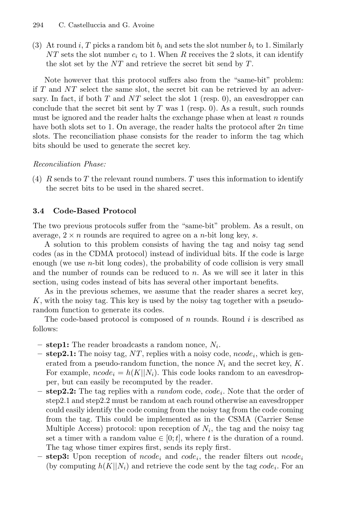(3) At round i, T picks a random bit  $b_i$  and sets the slot number  $b_i$  to 1. Similarly  $NT$  sets the slot number  $c_i$  to 1. When R receives the 2 slots, it can identify the slot set by the  $NT$  and retrieve the secret bit send by  $T$ .

Note however that this protocol suffers also from the "same-bit" problem: if T and NT select the same slot, the secret bit can be retrieved by an adversary. In fact, if both  $T$  and  $NT$  select the slot 1 (resp. 0), an eavesdropper can conclude that the secret bit sent by  $T$  was 1 (resp. 0). As a result, such rounds must be ignored and the reader halts the exchange phase when at least  $n$  rounds have both slots set to 1. On average, the reader halts the protocol after  $2n$  time slots. The reconciliation phase consists for the reader to inform the tag which bits should be used to generate the secret key.

## Reconciliation Phase:

(4) R sends to T the relevant round numbers. T uses this information to identify the secret bits to be used in the shared secret.

## **3.4 Code-Based Protocol**

The two previous protocols suffer from the "same-bit" problem. As a result, on average,  $2 \times n$  rounds are required to agree on a *n*-bit long key, *s*.

A solution to this problem consists of having the tag and noisy tag send codes (as in the CDMA protocol) instead of individual bits. If the code is large enough (we use n-bit long codes), the probability of code collision is very small and the number of rounds can be reduced to n. As we will see it later in this section, using codes instead of bits has several other important benefits.

As in the previous schemes, we assume that the reader shares a secret key, K, with the noisy tag. This key is used by the noisy tag together with a pseudorandom function to generate its codes.

The code-based protocol is composed of n rounds. Round i is described as follows:

- $-$  **step1:** The reader broadcasts a random nonce,  $N_i$ .
- $-$  **step2.1:** The noisy tag, NT, replies with a noisy code, ncode<sub>i</sub>, which is generated from a pseudo-random function, the nonce  $N_i$  and the secret key,  $K$ . For example,  $ncode_i = h(K||N_i)$ . This code looks random to an eavesdropper, but can easily be recomputed by the reader.
- $-$  **step2.2:** The tag replies with a *random* code,  $code_i$ . Note that the order of step2.1 and step2.2 must be random at each round otherwise an eavesdropper could easily identify the code coming from the noisy tag from the code coming from the tag. This could be implemented as in the CSMA (Carrier Sense Multiple Access) protocol: upon reception of  $N_i$ , the tag and the noisy tag set a timer with a random value  $\in [0; t]$ , where t is the duration of a round. The tag whose timer expires first, sends its reply first.
- $-$  **step3:** Upon reception of *ncode<sub>i</sub>* and *code<sub>i</sub>*, the reader filters out *ncode<sub>i</sub>* (by computing  $h(K||N_i)$  and retrieve the code sent by the tag code;. For an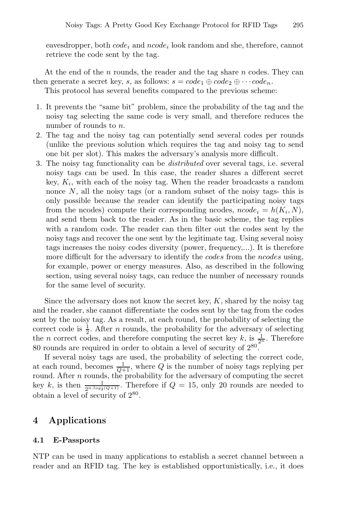eavesdropper, both  $code_i$  and  $node_i$  look random and she, therefore, cannot retrieve the code sent by the tag.

At the end of the n rounds, the reader and the tag share  $n$  codes. They can then generate a secret key, s, as follows:  $s = code_1 \oplus code_2 \oplus \cdots code_n$ .

This protocol has several benefits compared to the previous scheme:

- 1. It prevents the "same bit" problem, since the probability of the tag and the noisy tag selecting the same code is very small, and therefore reduces the number of rounds to n.
- 2. The tag and the noisy tag can potentially send several codes per rounds (unlike the previous solution which requires the tag and noisy tag to send one bit per slot). This makes the adversary's analysis more difficult.
- 3. The noisy tag functionality can be distributed over several tags, i.e. several noisy tags can be used. In this case, the reader shares a different secret key,  $K_i$ , with each of the noisy tag. When the reader broadcasts a random nonce  $N$ , all the noisy tags (or a random subset of the noisy tags- this is only possible because the reader can identify the participating noisy tags from the ncodes) compute their corresponding ncodes,  $ncode_i = h(K_i, N)$ , and send them back to the reader. As in the basic scheme, the tag replies with a random code. The reader can then filter out the codes sent by the noisy tags and recover the one sent by the legitimate tag. Using several noisy tags increases the noisy codes diversity (power, frequency,...). It is therefore more difficult for the adversary to identify the *codes* from the *ncodes* using, for example, power or energy measures. Also, as described in the following section, using several noisy tags, can reduce the number of necessary rounds for the same level of security.

Since the adversary does not know the secret key,  $K$ , shared by the noisy tag and the reader, she cannot differentiate the codes sent by the tag from the codes sent by the noisy tag. As a result, at each round, the probability of selecting the correct code is  $\frac{1}{2}$ . After *n* rounds, the probability for the adversary of selecting the *n* correct codes, and therefore computing the secret key k, is  $\frac{1}{2^n}$ . Therefore 80 rounds are required in order to obtain a level of security of 2<sup>80</sup>.

If several noisy tags are used, the probability of selecting the correct code, at each round, becomes  $\frac{1}{Q+1}$ , where Q is the number of noisy tags replying per round. After *n* rounds, the probability for the adversary of computing the secret key k, is then  $\frac{1}{2^{n.\log_2(Q+1)}}$ . Therefore if  $Q = 15$ , only 20 rounds are needed to obtain a level of security of  $2^{80}$ .

# <span id="page-6-0"></span>**4 Applications**

### **4.1 E-Passports**

NTP can be used in many applications to establish a secret channel between a reader and an RFID tag. The key is established opportunistically, i.e., it does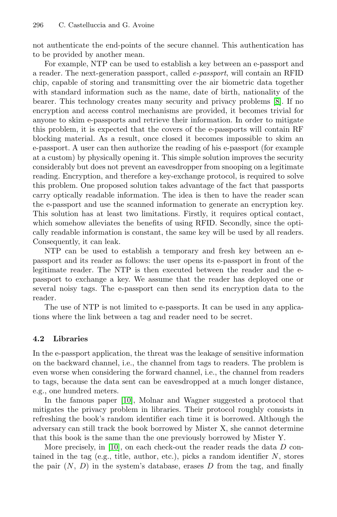#### 296 C. Castelluccia and G. Avoine

not authenticate the end-points of the secure channel. This authentication has to be provided by another mean.

For example, NTP can be used to establish a key between an e-passport and a reader. The next-generation passport, called e-passport, will contain an RFID chip, capable of storing and transmitting over the air biometric data together with standard information such as the name, date of birth, nationality of the bearer. This technology creates many security and privacy problems [8]. If no encryption and access control mechanisms are provided, it becomes trivial for anyone to skim e-passports and retrieve their information. In order to mitigate this problem, it is expected that the covers of the e-passports will contain RF blocking material. As a result, once closed it becomes impossible to skim an e-passport. A user can then authorize the reading of his e-passport (for example at a custom) by physically opening it. This simple solution improves the security considerably but does not prevent an eavesdropper from snooping on a legitimate reading. Encryption, and therefore a key-exchange protocol, is required to solve this problem. One proposed solution takes advantage of the fact that passports carry optically readable information. The idea is then to have the reader scan the e-passport and use the scanned information to generate an encryption key. This solution has at least two limitations. Firstly, it requires optical contact, which somehow alleviates the benefits of using RFID. Secondly, since the optically readable information is constant, the same key will be used by all readers. Consequently, it can leak.

<span id="page-7-0"></span>NTP can be used to establish a temporary and fresh key between an epassport and its reader as follows: the user opens its e-passport in front of the legitimate reader. The NTP is then executed between the reader and the epassport to exchange a key. We assume that the reader has deployed one or several noisy tags. The e-passport can then send its encryption data to the reader.

The use of NTP is not limited to e-passports. It can be used in any applications where the link between a tag and reader need to be secret.

## **4.2 Libraries**

In the e-passport application, the threat was the leakage of sensitive information on the backward channel, i.e., the channel from tags to readers. The problem is eve[n w](#page-10-4)orse when considering the forward channel, i.e., the channel from readers to tags, because the data sent can be eavesdropped at a much longer distance, e.g., one hundred meters.

In the famous paper [10], Molnar and Wagner suggested a protocol that mitigates the privacy problem in libraries. Their protocol roughly consists in refreshing the book's random identifier each time it is borrowed. Although the adversary can still track the book borrowed by Mister X, she cannot determine that this book is the same than the one previously borrowed by Mister Y.

More precisely, in  $[10]$ , on each check-out the reader reads the data  $D$  contained in the tag (e.g., title, author, etc.), picks a random identifier  $N$ , stores the pair  $(N, D)$  in the system's database, erases  $D$  from the tag, and finally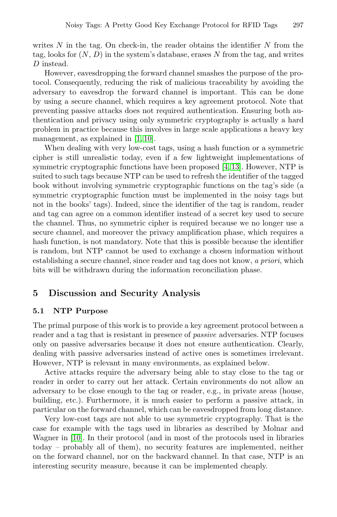writes  $N$  in the tag. On check-in, the reader obtains the identifier  $N$  from the tag, looks for  $(N, D)$  in the system's database, erases N from the tag, and writes D instead.

Howeve[r,](#page-10-5) [eav](#page-10-4)esdropping the forward channel smashes the purpose of the protocol. Consequently, reducing the risk of malicious traceability by avoiding the adversary to eavesdrop the forward [c](#page-10-6)[han](#page-10-7)nel is important. This can be done by using a secure channel, which requires a key agreement protocol. Note that preventing passive attacks does not required authentication. Ensuring both authentication and privacy using only symmetric cryptography is actually a hard problem in practice because this involves in large scale applications a heavy key management, as explained in [1, 10].

<span id="page-8-0"></span>When dealing with very low-cost tags, using a hash function or a symmetric cipher is still unrealistic today, even if a few lightweight implementations of symmetric cryptographic functions have been proposed [4, 13]. However, NTP is suited to such tags because NTP can be used to refresh the identifier of the tagged book without involving symmetric cryptographic functions on the tag's side (a symmetric cryptographic function must be implemented in the noisy tags but not in the books' tags). Indeed, since the identifier of the tag is random, reader and tag can agree on a common identifier instead of a secret key used to secure the channel. Thus, no symmetric cipher is required because we no longer use a secure channel, and moreover the privacy amplification phase, which requires a hash function, is not mandatory. Note that this is possible because the identifier is random, but NTP cannot be used to exchange a chosen information without establishing a secure channel, since reader and tag does not know, a priori, which bits will be withdrawn during the information reconciliation phase.

# **5 Discussion and Security Analysis**

## **5.1 NTP Purpose**

The primal purpose of this work is to provide a key agreement protocol between a reader and a tag that is resistant in presence of passive adversaries. NTP focuses only on passive adversaries because it does not ensure authentication. Clearly, dealing with passive adversaries instead of active ones is sometimes irrelevant. However, NTP is relevant in many environments, as explained below.

Active attacks require the adversary being able to stay close to the tag or reader in order to carry out her attack. Certain environments do not allow an adversary to be close enough to the tag or reader, e.g., in private areas (house, building, etc.). Furthermore, it is much easier to perform a passive attack, in particular on the forward channel, which can be eavesdropped from long distance.

Very low-cost tags are not able to use symmetric cryptography. That is the case for example with the tags used in libraries as described by Molnar and Wagner in [10]. In their protocol (and in most of the protocols used in libraries today – probably all of them), no security features are implemented, neither on the forward channel, nor on the backward channel. In that case, NTP is an interesting security measure, because it can be implemented cheaply.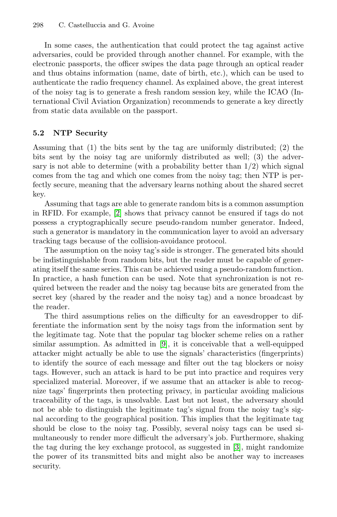#### 298 C. Castelluccia and G. Avoine

In some cases, the authentication that could protect the tag against active adversaries, could be provided through another channel. For example, with the electronic passports, the officer swipes the data page through an optical reader and thus obtains information (name, date of birth, etc.), which can be used to authenticate the radio frequency channel. As explained above, the great interest of the noisy tag is to generate a fresh random session key, while the ICAO (International Civil Aviation Organization) recommends to generate a key directly from static data available on the passport.

## **5.2 NTP Security**

Assu[mi](#page-10-8)ng that (1) the bits sent by the tag are uniformly distributed; (2) the bits sent by the noisy tag are uniformly distributed as well; (3) the adversary is not able to determine (with a probability better than  $1/2$ ) which signal comes from the tag and which one comes from the noisy tag; then NTP is perfectly secure, meaning that the adversary learns nothing about the shared secret key.

Assuming that tags are able to generate random bits is a common assumption in RFID. For example, [2] shows that privacy cannot be ensured if tags do not possess a cryptographically secure pseudo-random number generator. Indeed, such a generator is mandatory in the communication layer to avoid an adversary tracking tags because of the collision-avoidance protocol.

The assumption on the noisy tag's side is stronger. The generated bits should be indistinguishable from random bits, but the reader must be capable of generating itself the sa[me s](#page-10-3)eries. This can be achieved using a pseudo-random function. In practice, a hash function can be used. Note that synchronization is not required between the reader and the noisy tag because bits are generated from the secret key (shared by the reader and the noisy tag) and a nonce broadcast by the reader.

The third assumptions relies on the difficulty for an eavesdropper to differentiate the information sent by the noisy tags from the information sent by the legitimate tag. Note that the popular tag blocker scheme relies on a rather similar assumption. As admitted in [9], it is conceivable that a well-equipped attacker might actually be able to use the signals' characteristics (fingerprints) to identify the source of each message and filter out the tag blockers or noisy tags. However, such an attack is hard t[o b](#page-10-2)e put into practice and requires very specialized material. Moreover, if we assume that an attacker is able to recognize tags' fingerprints then protecting privacy, in particular avoiding malicious traceability of the tags, is unsolvable. Last but not least, the adversary should not be able to distinguish the legitimate tag's signal from the noisy tag's signal according to the geographical position. This implies that the legitimate tag should be close to the noisy tag. Possibly, several noisy tags can be used simultaneously to render more difficult the adversary's job. Furthermore, shaking the tag during the key exchange protocol, as suggested in [3], might randomize the power of its transmitted bits and might also be another way to increases security.